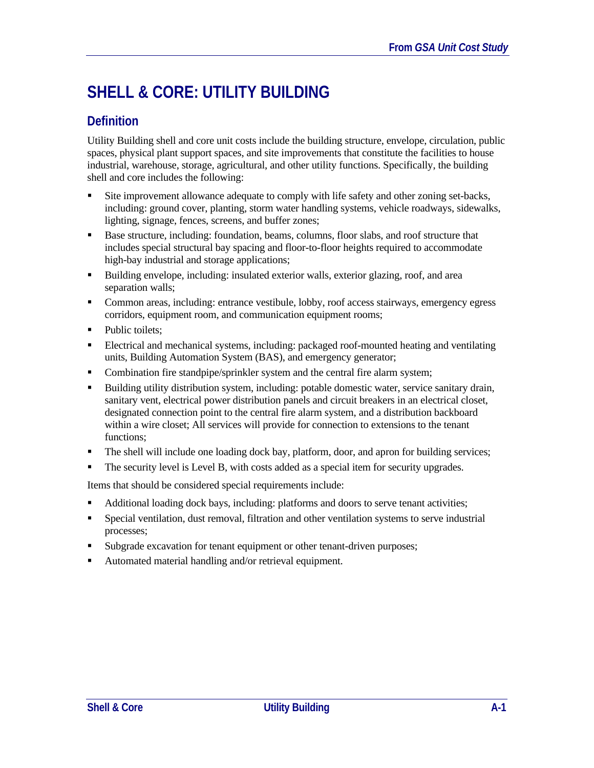# **SHELL & CORE: UTILITY BUILDING**

# **Definition**

Utility Building shell and core unit costs include the building structure, envelope, circulation, public spaces, physical plant support spaces, and site improvements that constitute the facilities to house industrial, warehouse, storage, agricultural, and other utility functions. Specifically, the building shell and core includes the following:

- Site improvement allowance adequate to comply with life safety and other zoning set-backs, including: ground cover, planting, storm water handling systems, vehicle roadways, sidewalks, lighting, signage, fences, screens, and buffer zones;
- **Base structure, including: foundation, beams, columns, floor slabs, and roof structure that** includes special structural bay spacing and floor-to-floor heights required to accommodate high-bay industrial and storage applications;
- Building envelope, including: insulated exterior walls, exterior glazing, roof, and area separation walls;
- Common areas, including: entrance vestibule, lobby, roof access stairways, emergency egress corridors, equipment room, and communication equipment rooms;
- Public toilets;
- Electrical and mechanical systems, including: packaged roof-mounted heating and ventilating units, Building Automation System (BAS), and emergency generator;
- Combination fire standpipe/sprinkler system and the central fire alarm system;
- Building utility distribution system, including: potable domestic water, service sanitary drain, sanitary vent, electrical power distribution panels and circuit breakers in an electrical closet, designated connection point to the central fire alarm system, and a distribution backboard within a wire closet; All services will provide for connection to extensions to the tenant functions;
- The shell will include one loading dock bay, platform, door, and apron for building services;
- The security level is Level B, with costs added as a special item for security upgrades.

Items that should be considered special requirements include:

- Additional loading dock bays, including: platforms and doors to serve tenant activities;
- Special ventilation, dust removal, filtration and other ventilation systems to serve industrial processes;
- Subgrade excavation for tenant equipment or other tenant-driven purposes;
- Automated material handling and/or retrieval equipment.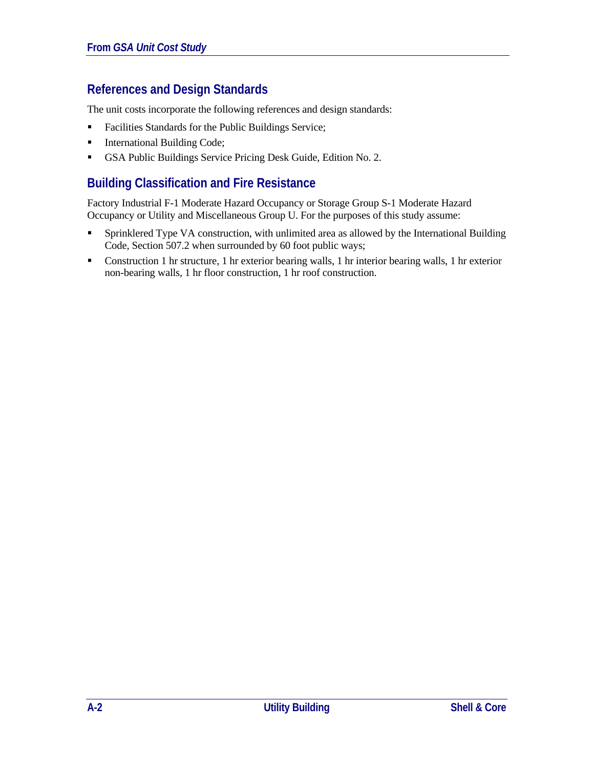# **References and Design Standards**

The unit costs incorporate the following references and design standards:

- **Facilities Standards for the Public Buildings Service;**
- **International Building Code;**
- GSA Public Buildings Service Pricing Desk Guide, Edition No. 2.

### **Building Classification and Fire Resistance**

Factory Industrial F-1 Moderate Hazard Occupancy or Storage Group S-1 Moderate Hazard Occupancy or Utility and Miscellaneous Group U. For the purposes of this study assume:

- Sprinklered Type VA construction, with unlimited area as allowed by the International Building Code, Section 507.2 when surrounded by 60 foot public ways;
- Construction 1 hr structure, 1 hr exterior bearing walls, 1 hr interior bearing walls, 1 hr exterior non-bearing walls, 1 hr floor construction, 1 hr roof construction.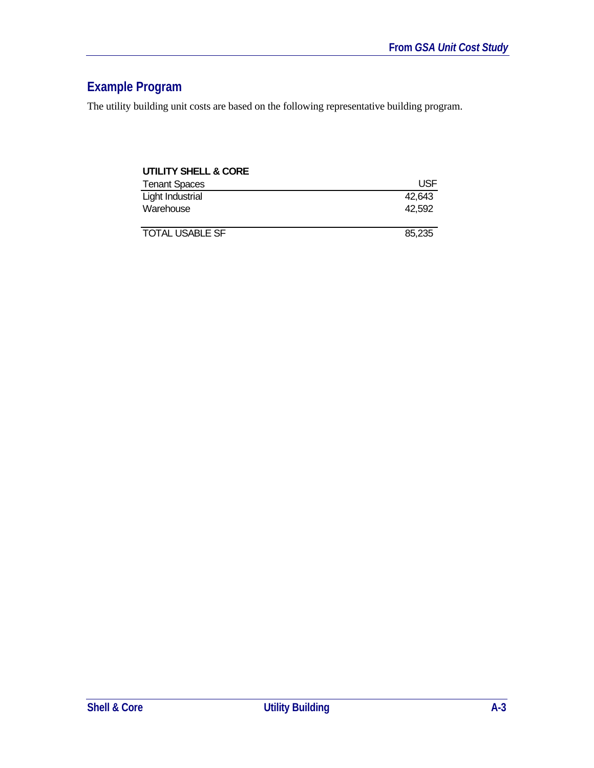# **Example Program**

The utility building unit costs are based on the following representative building program.

| <b>UTILITY SHELL &amp; CORE</b> |        |  |
|---------------------------------|--------|--|
| <b>Tenant Spaces</b>            | USF    |  |
| Light Industrial                | 42,643 |  |
| Warehouse                       | 42.592 |  |
| <b>TOTAL USABLE SF</b>          | 85,235 |  |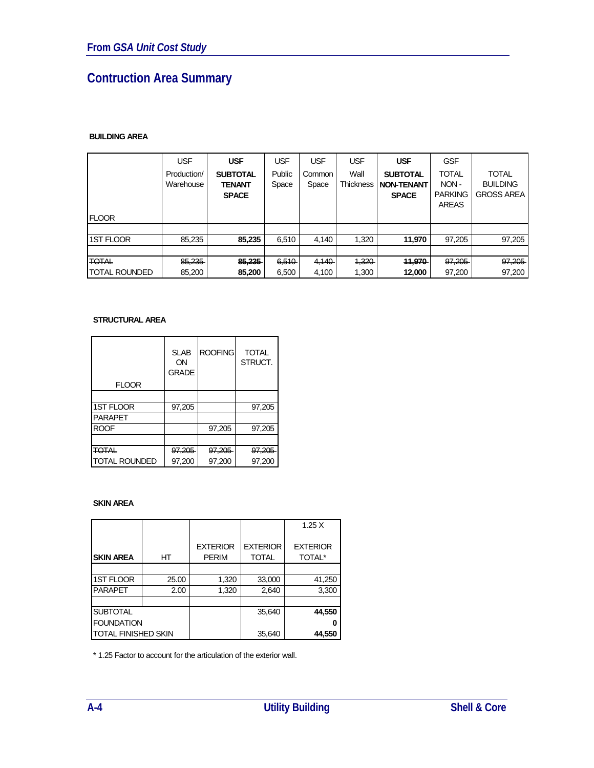# **Contruction Area Summary**

#### **BUILDING AREA**

|                      | <b>USF</b>               | <b>USF</b>                                       | <b>USF</b>      | <b>USF</b>      | USF                      | <b>USF</b>                                           | <b>GSF</b>                                             |                                                      |
|----------------------|--------------------------|--------------------------------------------------|-----------------|-----------------|--------------------------|------------------------------------------------------|--------------------------------------------------------|------------------------------------------------------|
| <b>FLOOR</b>         | Production/<br>Warehouse | <b>SUBTOTAL</b><br><b>TENANT</b><br><b>SPACE</b> | Public<br>Space | Common<br>Space | Wall<br><b>Thickness</b> | <b>SUBTOTAL</b><br><b>NON-TENANT</b><br><b>SPACE</b> | <b>TOTAL</b><br>NON-<br><b>PARKING</b><br><b>AREAS</b> | <b>TOTAL</b><br><b>BUILDING</b><br><b>GROSS AREA</b> |
|                      |                          |                                                  |                 |                 |                          |                                                      |                                                        |                                                      |
| <b>1ST FLOOR</b>     | 85,235                   | 85.235                                           | 6.510           | 4.140           | 1,320                    | 11.970                                               | 97,205                                                 | 97,205                                               |
|                      |                          |                                                  |                 |                 |                          |                                                      |                                                        |                                                      |
| <b>TOTAL</b>         | 85,235                   | 85,235                                           | 6,510           | 4,140           | 4,320                    | 11,970                                               | 97,205                                                 | 97,205                                               |
| <b>TOTAL ROUNDED</b> | 85,200                   | 85,200                                           | 6,500           | 4,100           | 1,300                    | 12,000                                               | 97,200                                                 | 97.200                                               |

#### **STRUCTURAL AREA**

|                      | <b>SLAB</b><br>ON<br><b>GRADE</b> | <b>ROOFING</b> | <b>TOTAL</b><br>STRUCT. |
|----------------------|-----------------------------------|----------------|-------------------------|
| <b>FLOOR</b>         |                                   |                |                         |
|                      |                                   |                |                         |
| <b>1ST FLOOR</b>     | 97,205                            |                | 97,205                  |
| <b>PARAPET</b>       |                                   |                |                         |
| <b>ROOF</b>          |                                   | 97,205         | 97,205                  |
|                      |                                   |                |                         |
| <b>TOTAL</b>         | 97,205                            | 97,205         | 97,205                  |
| <b>TOTAL ROUNDED</b> | 97,200                            | 97,200         | 97,200                  |

#### **SKIN AREA**

|                            |       |                                 |                                 | 1.25X                            |
|----------------------------|-------|---------------------------------|---------------------------------|----------------------------------|
| <b>SKIN AREA</b>           | НT    | <b>EXTERIOR</b><br><b>PERIM</b> | <b>EXTERIOR</b><br><b>TOTAL</b> | <b>EXTERIOR</b><br><b>TOTAL*</b> |
|                            |       |                                 |                                 |                                  |
| <b>1ST FLOOR</b>           | 25.00 | 1,320                           | 33,000                          | 41,250                           |
| <b>PARAPET</b>             | 2.00  | 1,320                           | 2,640                           | 3,300                            |
|                            |       |                                 |                                 |                                  |
| <b>SUBTOTAL</b>            |       |                                 | 35,640                          | 44,550                           |
| <b>FOUNDATION</b>          |       |                                 |                                 |                                  |
| <b>TOTAL FINISHED SKIN</b> |       |                                 | 35,640                          | 44,550                           |

\* 1.25 Factor to account for the articulation of the exterior wall.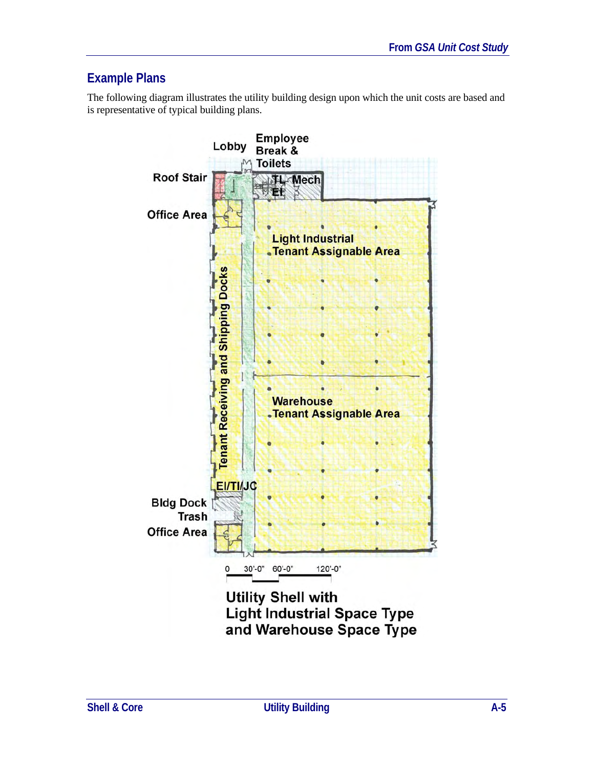# **Example Plans**

The following diagram illustrates the utility building design upon which the unit costs are based and is representative of typical building plans.

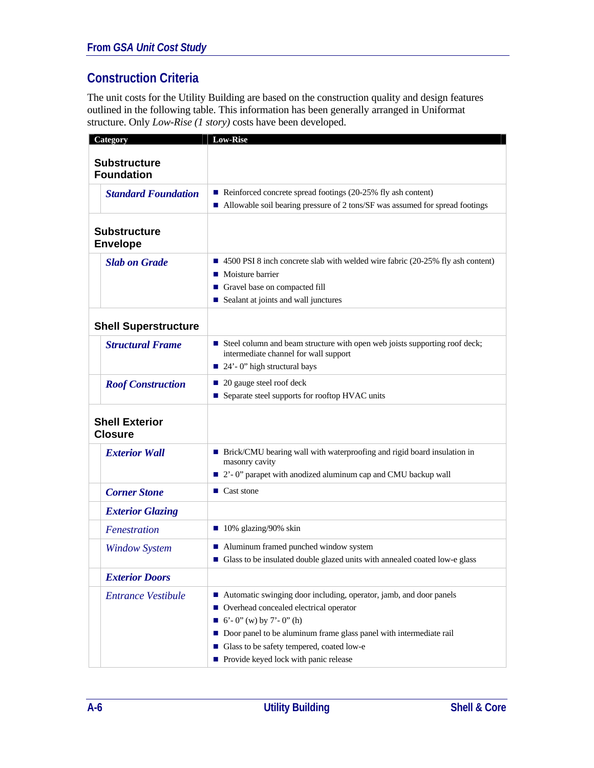# **Construction Criteria**

The unit costs for the Utility Building are based on the construction quality and design features outlined in the following table. This information has been generally arranged in Uniformat structure. Only *Low-Rise (1 story)* costs have been developed.

| Category                                 | <b>Low-Rise</b>                                                                                                     |
|------------------------------------------|---------------------------------------------------------------------------------------------------------------------|
| <b>Substructure</b><br><b>Foundation</b> |                                                                                                                     |
| <b>Standard Foundation</b>               | Reinforced concrete spread footings $(20-25\%$ fly ash content)                                                     |
|                                          | ■ Allowable soil bearing pressure of 2 tons/SF was assumed for spread footings                                      |
| <b>Substructure</b><br><b>Envelope</b>   |                                                                                                                     |
| <b>Slab on Grade</b>                     | ■ 4500 PSI 8 inch concrete slab with welded wire fabric (20-25% fly ash content)                                    |
|                                          | • Moisture barrier                                                                                                  |
|                                          | Gravel base on compacted fill                                                                                       |
|                                          | Sealant at joints and wall junctures                                                                                |
| <b>Shell Superstructure</b>              |                                                                                                                     |
| <b>Structural Frame</b>                  | Steel column and beam structure with open web joists supporting roof deck;<br>intermediate channel for wall support |
|                                          | 24'-0" high structural bays                                                                                         |
| <b>Roof Construction</b>                 | 20 gauge steel roof deck                                                                                            |
|                                          | ■ Separate steel supports for rooftop HVAC units                                                                    |
| <b>Shell Exterior</b><br><b>Closure</b>  |                                                                                                                     |
| <b>Exterior Wall</b>                     | ■ Brick/CMU bearing wall with waterproofing and rigid board insulation in<br>masonry cavity                         |
|                                          | 2'-0" parapet with anodized aluminum cap and CMU backup wall                                                        |
| <b>Corner Stone</b>                      | $\blacksquare$ Cast stone                                                                                           |
| <b>Exterior Glazing</b>                  |                                                                                                                     |
| Fenestration                             | $\blacksquare$ 10% glazing/90% skin                                                                                 |
| <b>Window System</b>                     | ■ Aluminum framed punched window system                                                                             |
|                                          | Glass to be insulated double glazed units with annealed coated low-e glass                                          |
| <b>Exterior Doors</b>                    |                                                                                                                     |
| <b>Entrance Vestibule</b>                | ■ Automatic swinging door including, operator, jamb, and door panels                                                |
|                                          | ■ Overhead concealed electrical operator                                                                            |
|                                          | 6'-0" (w) by 7'-0" (h)                                                                                              |
|                                          | Door panel to be aluminum frame glass panel with intermediate rail                                                  |
|                                          | Glass to be safety tempered, coated low-e                                                                           |
|                                          | Provide keyed lock with panic release                                                                               |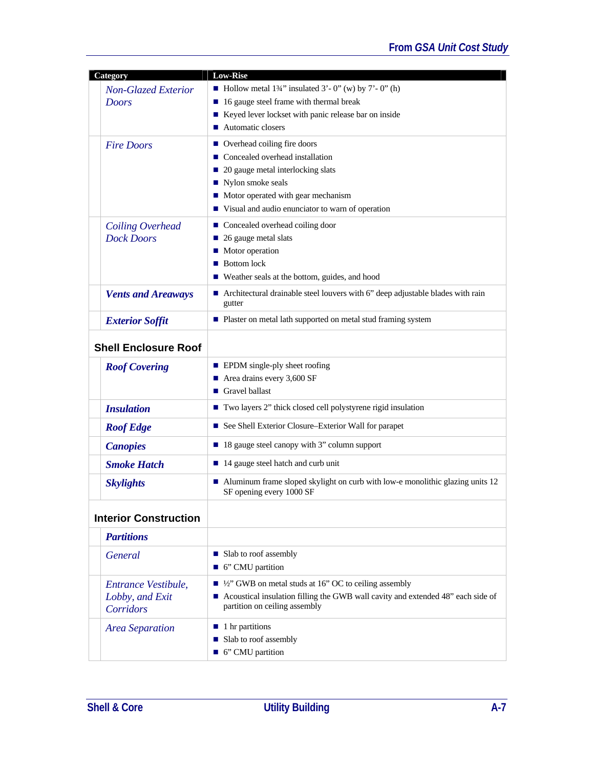| Category                                            | <b>Low-Rise</b>                                                                                                                                                                                                                           |
|-----------------------------------------------------|-------------------------------------------------------------------------------------------------------------------------------------------------------------------------------------------------------------------------------------------|
| <b>Non-Glazed Exterior</b><br><b>Doors</b>          | Hollow metal $1\frac{3}{4}$ " insulated 3' - 0" (w) by 7' - 0" (h)<br>16 gauge steel frame with thermal break<br>■ Keyed lever lockset with panic release bar on inside<br>■ Automatic closers                                            |
| <b>Fire Doors</b>                                   | ■ Overhead coiling fire doors<br>$\blacksquare$ Concealed overhead installation<br>20 gauge metal interlocking slats<br>■ Nylon smoke seals<br>• Motor operated with gear mechanism<br>■ Visual and audio enunciator to warn of operation |
| Coiling Overhead<br><b>Dock Doors</b>               | $\blacksquare$ Concealed overhead coiling door<br>■ 26 gauge metal slats<br>$\blacksquare$ Motor operation<br><b>Bottom lock</b><br>■ Weather seals at the bottom, guides, and hood                                                       |
| <b>Vents and Areaways</b>                           | $\blacksquare$ Architectural drainable steel louvers with 6" deep adjustable blades with rain<br>gutter                                                                                                                                   |
| <b>Exterior Soffit</b>                              | ■ Plaster on metal lath supported on metal stud framing system                                                                                                                                                                            |
| <b>Shell Enclosure Roof</b>                         |                                                                                                                                                                                                                                           |
| <b>Roof Covering</b>                                | <b>EPDM</b> single-ply sheet roofing<br>$\blacksquare$ Area drains every 3,600 SF<br>Gravel ballast                                                                                                                                       |
| <b>Insulation</b>                                   | Two layers 2" thick closed cell polystyrene rigid insulation                                                                                                                                                                              |
| <b>Roof Edge</b>                                    | ■ See Shell Exterior Closure-Exterior Wall for parapet                                                                                                                                                                                    |
| <b>Canopies</b>                                     | ■ 18 gauge steel canopy with 3" column support                                                                                                                                                                                            |
| <b>Smoke Hatch</b>                                  | ■ 14 gauge steel hatch and curb unit                                                                                                                                                                                                      |
| <b>Skylights</b>                                    | • Aluminum frame sloped skylight on curb with low-e monolithic glazing units 12<br>SF opening every 1000 SF                                                                                                                               |
| <b>Interior Construction</b>                        |                                                                                                                                                                                                                                           |
| <b>Partitions</b>                                   |                                                                                                                                                                                                                                           |
| <b>General</b>                                      | ■ Slab to roof assembly<br>■ 6" CMU partition                                                                                                                                                                                             |
| Entrance Vestibule,<br>Lobby, and Exit<br>Corridors | $\blacksquare$ 1/2" GWB on metal studs at 16" OC to ceiling assembly<br>■ Acoustical insulation filling the GWB wall cavity and extended 48" each side of<br>partition on ceiling assembly                                                |
| <b>Area Separation</b>                              | $\blacksquare$ 1 hr partitions<br>■ Slab to roof assembly<br>■ 6" CMU partition                                                                                                                                                           |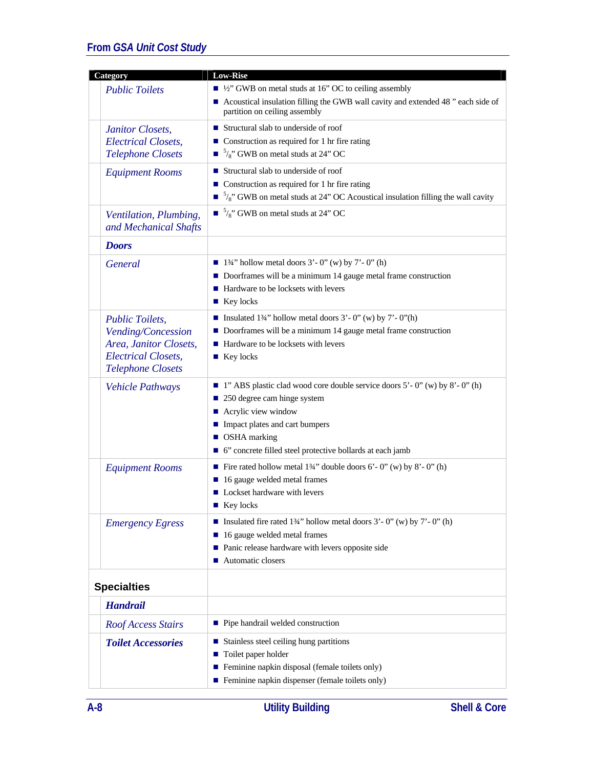| Category                                                                                                                         | <b>Low-Rise</b>                                                                                                                                                                                                                                                         |
|----------------------------------------------------------------------------------------------------------------------------------|-------------------------------------------------------------------------------------------------------------------------------------------------------------------------------------------------------------------------------------------------------------------------|
| <b>Public Toilets</b>                                                                                                            | $\blacksquare$ 1/2" GWB on metal studs at 16" OC to ceiling assembly<br>■ Acoustical insulation filling the GWB wall cavity and extended 48 " each side of<br>partition on ceiling assembly                                                                             |
| Janitor Closets,<br><b>Electrical Closets,</b><br><b>Telephone Closets</b>                                                       | $\blacksquare$ Structural slab to underside of roof<br>$\blacksquare$ Construction as required for 1 hr fire rating<br>$\blacksquare$ <sup>5</sup> / <sub>8</sub> " GWB on metal studs at 24" OC                                                                        |
| <b>Equipment Rooms</b>                                                                                                           | $\blacksquare$ Structural slab to underside of roof<br>■ Construction as required for 1 hr fire rating<br>$\blacksquare$ <sup>5</sup> / <sub>8</sub> " GWB on metal studs at 24" OC Acoustical insulation filling the wall cavity                                       |
| Ventilation, Plumbing,<br>and Mechanical Shafts                                                                                  | $\blacksquare$ <sup>5</sup> / <sub>8</sub> " GWB on metal studs at 24" OC                                                                                                                                                                                               |
| <b>Doors</b>                                                                                                                     |                                                                                                                                                                                                                                                                         |
| General                                                                                                                          | $\blacksquare$ 13/4" hollow metal doors 3' - 0" (w) by 7' - 0" (h)<br>Doorframes will be a minimum 14 gauge metal frame construction<br>■ Hardware to be locksets with levers<br>$\blacksquare$ Key locks                                                               |
| <b>Public Toilets,</b><br>Vending/Concession<br>Area, Janitor Closets,<br><b>Electrical Closets,</b><br><b>Telephone Closets</b> | ■ Insulated 13/4" hollow metal doors $3'$ - 0" (w) by $7'$ - 0"(h)<br>Doorframes will be a minimum 14 gauge metal frame construction<br>■ Hardware to be locksets with levers<br>■ Key locks                                                                            |
| <b>Vehicle Pathways</b>                                                                                                          | $\blacksquare$ 1" ABS plastic clad wood core double service doors 5' - 0" (w) by 8' - 0" (h)<br>250 degree cam hinge system<br>■ Acrylic view window<br>Impact plates and cart bumpers<br>■ OSHA marking<br>■ 6" concrete filled steel protective bollards at each jamb |
| <b>Equipment Rooms</b>                                                                                                           | Fire rated hollow metal $1\frac{3}{4}$ " double doors 6' - 0" (w) by 8' - 0" (h)<br>■ 16 gauge welded metal frames<br>■ Lockset hardware with levers<br>$\blacksquare$ Key locks                                                                                        |
| <b>Emergency Egress</b>                                                                                                          | ■ Insulated fire rated 134" hollow metal doors $3'$ - 0" (w) by $7'$ - 0" (h)<br>16 gauge welded metal frames<br>• Panic release hardware with levers opposite side<br>■ Automatic closers                                                                              |
| <b>Specialties</b>                                                                                                               |                                                                                                                                                                                                                                                                         |
| <b>Handrail</b>                                                                                                                  |                                                                                                                                                                                                                                                                         |
| <b>Roof Access Stairs</b>                                                                                                        | $\blacksquare$ Pipe handrail welded construction                                                                                                                                                                                                                        |
| <b>Toilet Accessories</b>                                                                                                        | ■ Stainless steel ceiling hung partitions<br>■ Toilet paper holder<br>Feminine napkin disposal (female toilets only)<br>Feminine napkin dispenser (female toilets only)                                                                                                 |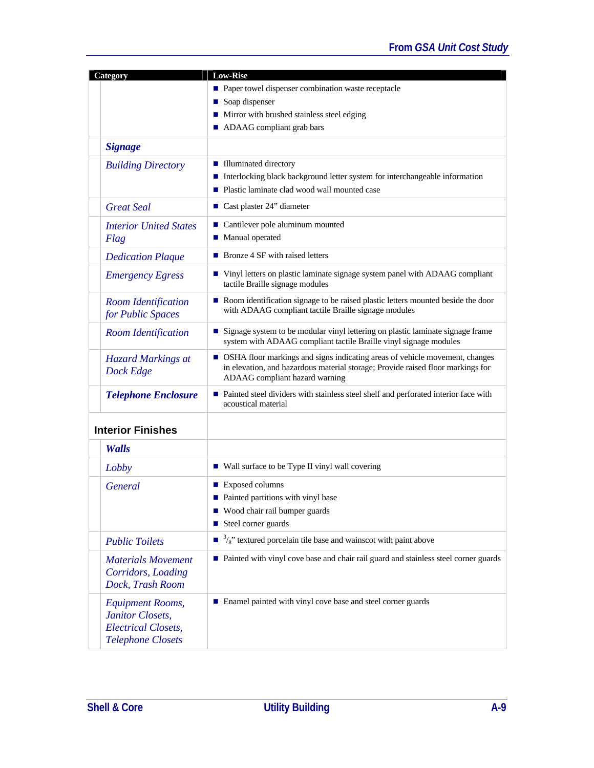| Category                                                                                              | <b>Low-Rise</b>                                                                                                                                                                                    |
|-------------------------------------------------------------------------------------------------------|----------------------------------------------------------------------------------------------------------------------------------------------------------------------------------------------------|
|                                                                                                       | ■ Paper towel dispenser combination waste receptacle                                                                                                                                               |
|                                                                                                       | Soap dispenser                                                                                                                                                                                     |
|                                                                                                       | • Mirror with brushed stainless steel edging                                                                                                                                                       |
|                                                                                                       | • ADAAG compliant grab bars                                                                                                                                                                        |
| <b>Signage</b>                                                                                        |                                                                                                                                                                                                    |
|                                                                                                       |                                                                                                                                                                                                    |
| <b>Building Directory</b>                                                                             | <b>Illuminated directory</b>                                                                                                                                                                       |
|                                                                                                       | ■ Interlocking black background letter system for interchangeable information                                                                                                                      |
|                                                                                                       | • Plastic laminate clad wood wall mounted case                                                                                                                                                     |
| <b>Great Seal</b>                                                                                     | Cast plaster $24$ " diameter                                                                                                                                                                       |
| <b>Interior United States</b>                                                                         | ■ Cantilever pole aluminum mounted                                                                                                                                                                 |
| Flag                                                                                                  | ■ Manual operated                                                                                                                                                                                  |
| <b>Dedication Plaque</b>                                                                              | ■ Bronze 4 SF with raised letters                                                                                                                                                                  |
| <b>Emergency Egress</b>                                                                               | ■ Vinyl letters on plastic laminate signage system panel with ADAAG compliant<br>tactile Braille signage modules                                                                                   |
| Room Identification<br>for Public Spaces                                                              | Room identification signage to be raised plastic letters mounted beside the door<br>with ADAAG compliant tactile Braille signage modules                                                           |
| Room Identification                                                                                   | Signage system to be modular vinyl lettering on plastic laminate signage frame<br>system with ADAAG compliant tactile Braille vinyl signage modules                                                |
| <b>Hazard Markings at</b><br>Dock Edge                                                                | • OSHA floor markings and signs indicating areas of vehicle movement, changes<br>in elevation, and hazardous material storage; Provide raised floor markings for<br>ADAAG compliant hazard warning |
| <b>Telephone Enclosure</b>                                                                            | Painted steel dividers with stainless steel shelf and perforated interior face with<br>acoustical material                                                                                         |
| <b>Interior Finishes</b>                                                                              |                                                                                                                                                                                                    |
| Walls                                                                                                 |                                                                                                                                                                                                    |
| Lobby                                                                                                 | ■ Wall surface to be Type II vinyl wall covering                                                                                                                                                   |
| <b>General</b>                                                                                        | ■ Exposed columns                                                                                                                                                                                  |
|                                                                                                       | $\blacksquare$ Painted partitions with vinyl base                                                                                                                                                  |
|                                                                                                       | ■ Wood chair rail bumper guards                                                                                                                                                                    |
|                                                                                                       | ■ Steel corner guards                                                                                                                                                                              |
| <b>Public Toilets</b>                                                                                 | $\blacksquare$ <sup>3</sup> / <sub>8</sub> " textured porcelain tile base and wainscot with paint above                                                                                            |
| <b>Materials Movement</b><br>Corridors, Loading<br>Dock, Trash Room                                   | ■ Painted with vinyl cove base and chair rail guard and stainless steel corner guards                                                                                                              |
| <b>Equipment Rooms,</b><br>Janitor Closets,<br><b>Electrical Closets,</b><br><b>Telephone Closets</b> | ■ Enamel painted with vinyl cove base and steel corner guards                                                                                                                                      |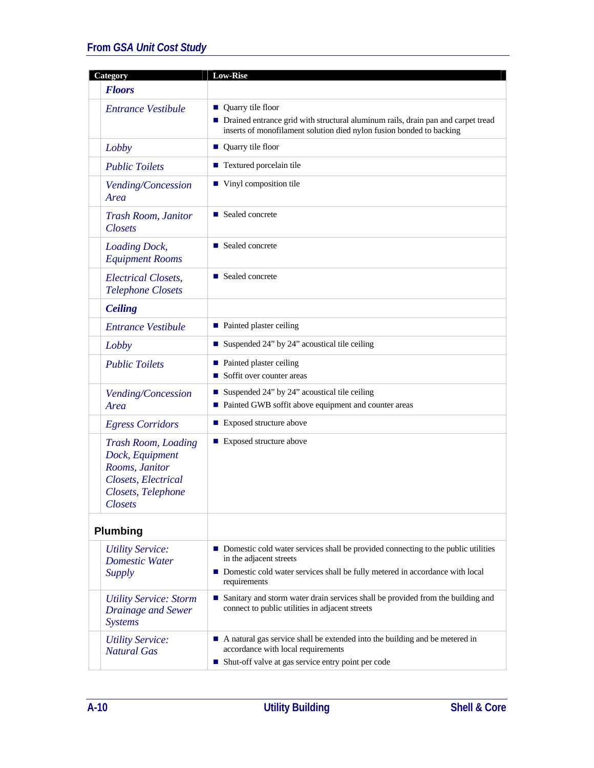| <b>Low-Rise</b>                                                                                                                                                                                                |
|----------------------------------------------------------------------------------------------------------------------------------------------------------------------------------------------------------------|
|                                                                                                                                                                                                                |
| ■ Quarry tile floor<br>• Drained entrance grid with structural aluminum rails, drain pan and carpet tread<br>inserts of monofilament solution died nylon fusion bonded to backing                              |
| ■ Quarry tile floor                                                                                                                                                                                            |
| ■ Textured porcelain tile                                                                                                                                                                                      |
| ■ Vinyl composition tile                                                                                                                                                                                       |
| ■ Sealed concrete                                                                                                                                                                                              |
| ■ Sealed concrete                                                                                                                                                                                              |
| ■ Sealed concrete                                                                                                                                                                                              |
|                                                                                                                                                                                                                |
| • Painted plaster ceiling                                                                                                                                                                                      |
| Suspended 24" by 24" acoustical tile ceiling                                                                                                                                                                   |
| • Painted plaster ceiling<br>Soffit over counter areas                                                                                                                                                         |
| Suspended 24" by 24" acoustical tile ceiling<br>■ Painted GWB soffit above equipment and counter areas                                                                                                         |
| ■ Exposed structure above                                                                                                                                                                                      |
| ■ Exposed structure above                                                                                                                                                                                      |
|                                                                                                                                                                                                                |
| ■ Domestic cold water services shall be provided connecting to the public utilities<br>in the adjacent streets<br>Domestic cold water services shall be fully metered in accordance with local<br>requirements |
| Sanitary and storm water drain services shall be provided from the building and<br>connect to public utilities in adjacent streets                                                                             |
| A natural gas service shall be extended into the building and be metered in<br>accordance with local requirements<br>■ Shut-off valve at gas service entry point per code                                      |
|                                                                                                                                                                                                                |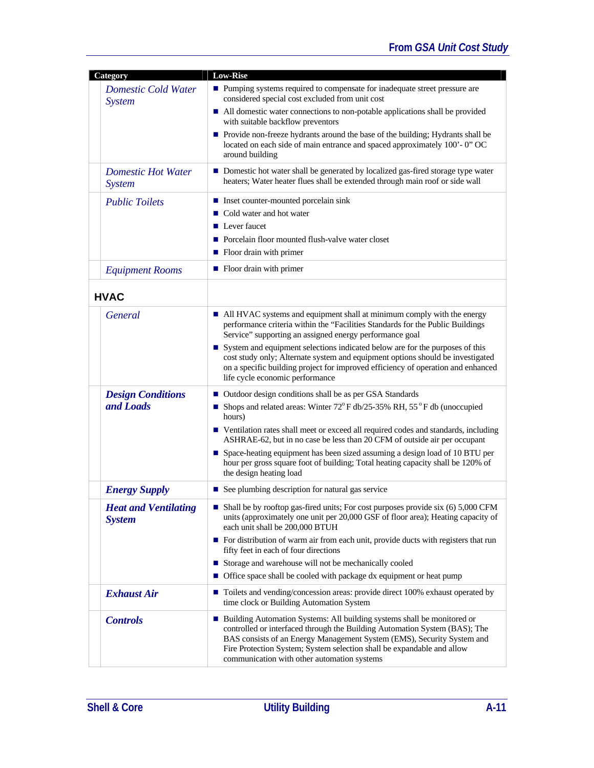| Category                                     | <b>Low-Rise</b>                                                                                                                                                                                                                                                                                                                                            |
|----------------------------------------------|------------------------------------------------------------------------------------------------------------------------------------------------------------------------------------------------------------------------------------------------------------------------------------------------------------------------------------------------------------|
| Domestic Cold Water<br><i>System</i>         | ■ Pumping systems required to compensate for inadequate street pressure are<br>considered special cost excluded from unit cost                                                                                                                                                                                                                             |
|                                              | ■ All domestic water connections to non-potable applications shall be provided<br>with suitable backflow preventors                                                                                                                                                                                                                                        |
|                                              | • Provide non-freeze hydrants around the base of the building; Hydrants shall be<br>located on each side of main entrance and spaced approximately 100'-0" OC<br>around building                                                                                                                                                                           |
| <b>Domestic Hot Water</b><br><b>System</b>   | ■ Domestic hot water shall be generated by localized gas-fired storage type water<br>heaters; Water heater flues shall be extended through main roof or side wall                                                                                                                                                                                          |
| <b>Public Toilets</b>                        | ■ Inset counter-mounted porcelain sink<br>■ Cold water and hot water<br>$\blacksquare$ Lever faucet<br>• Porcelain floor mounted flush-valve water closet<br>• Floor drain with primer                                                                                                                                                                     |
| <b>Equipment Rooms</b>                       | $\blacksquare$ Floor drain with primer                                                                                                                                                                                                                                                                                                                     |
| <b>HVAC</b>                                  |                                                                                                                                                                                                                                                                                                                                                            |
| <b>General</b>                               | • All HVAC systems and equipment shall at minimum comply with the energy<br>performance criteria within the "Facilities Standards for the Public Buildings<br>Service" supporting an assigned energy performance goal<br>System and equipment selections indicated below are for the purposes of this                                                      |
|                                              | cost study only; Alternate system and equipment options should be investigated<br>on a specific building project for improved efficiency of operation and enhanced<br>life cycle economic performance                                                                                                                                                      |
| <b>Design Conditions</b>                     | ■ Outdoor design conditions shall be as per GSA Standards                                                                                                                                                                                                                                                                                                  |
| and Loads                                    | Shops and related areas: Winter $72^{\circ}$ F db/25-35% RH, 55°F db (unoccupied<br>hours)                                                                                                                                                                                                                                                                 |
|                                              | ■ Ventilation rates shall meet or exceed all required codes and standards, including<br>ASHRAE-62, but in no case be less than 20 CFM of outside air per occupant                                                                                                                                                                                          |
|                                              | ■ Space-heating equipment has been sized assuming a design load of 10 BTU per<br>hour per gross square foot of building; Total heating capacity shall be 120% of<br>the design heating load                                                                                                                                                                |
| <b>Energy Supply</b>                         | ■ See plumbing description for natural gas service                                                                                                                                                                                                                                                                                                         |
| <b>Heat and Ventilating</b><br><b>System</b> | Shall be by rooftop gas-fired units; For cost purposes provide six (6) 5,000 CFM<br>units (approximately one unit per 20,000 GSF of floor area); Heating capacity of<br>each unit shall be 200,000 BTUH                                                                                                                                                    |
|                                              | For distribution of warm air from each unit, provide ducts with registers that run<br>fifty feet in each of four directions                                                                                                                                                                                                                                |
|                                              | Storage and warehouse will not be mechanically cooled                                                                                                                                                                                                                                                                                                      |
|                                              | • Office space shall be cooled with package dx equipment or heat pump                                                                                                                                                                                                                                                                                      |
| <b>Exhaust Air</b>                           | ■ Toilets and vending/concession areas: provide direct 100% exhaust operated by<br>time clock or Building Automation System                                                                                                                                                                                                                                |
| <b>Controls</b>                              | ■ Building Automation Systems: All building systems shall be monitored or<br>controlled or interfaced through the Building Automation System (BAS); The<br>BAS consists of an Energy Management System (EMS), Security System and<br>Fire Protection System; System selection shall be expandable and allow<br>communication with other automation systems |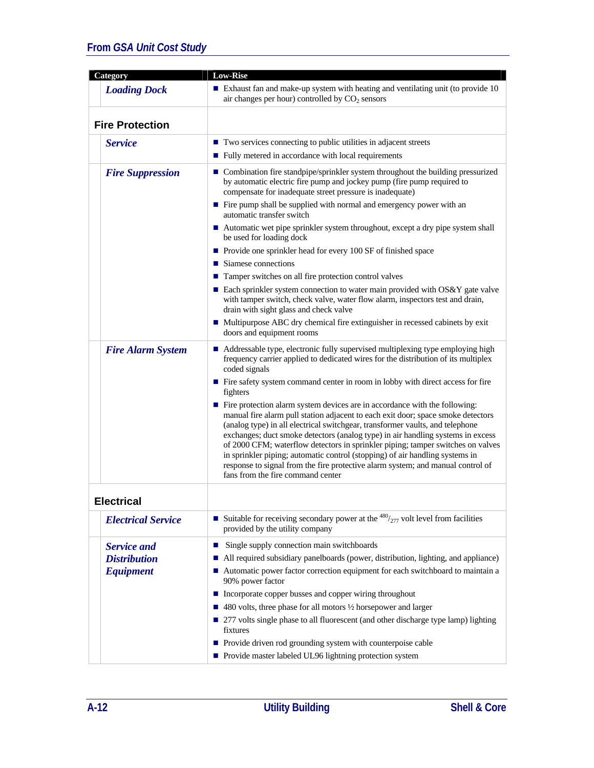| <b>Category</b>           | <b>Low-Rise</b>                                                                                                                                                                                                                                                                                                                                                                                                                                                                                                                                                                                                               |
|---------------------------|-------------------------------------------------------------------------------------------------------------------------------------------------------------------------------------------------------------------------------------------------------------------------------------------------------------------------------------------------------------------------------------------------------------------------------------------------------------------------------------------------------------------------------------------------------------------------------------------------------------------------------|
| <b>Loading Dock</b>       | Exhaust fan and make-up system with heating and ventilating unit (to provide $10$<br>air changes per hour) controlled by CO <sub>2</sub> sensors                                                                                                                                                                                                                                                                                                                                                                                                                                                                              |
| <b>Fire Protection</b>    |                                                                                                                                                                                                                                                                                                                                                                                                                                                                                                                                                                                                                               |
| <b>Service</b>            | ■ Two services connecting to public utilities in adjacent streets                                                                                                                                                                                                                                                                                                                                                                                                                                                                                                                                                             |
|                           | Fully metered in accordance with local requirements                                                                                                                                                                                                                                                                                                                                                                                                                                                                                                                                                                           |
| <b>Fire Suppression</b>   | ■ Combination fire standpipe/sprinkler system throughout the building pressurized<br>by automatic electric fire pump and jockey pump (fire pump required to<br>compensate for inadequate street pressure is inadequate)                                                                                                                                                                                                                                                                                                                                                                                                       |
|                           | ■ Fire pump shall be supplied with normal and emergency power with an<br>automatic transfer switch                                                                                                                                                                                                                                                                                                                                                                                                                                                                                                                            |
|                           | Automatic wet pipe sprinkler system throughout, except a dry pipe system shall<br>be used for loading dock                                                                                                                                                                                                                                                                                                                                                                                                                                                                                                                    |
|                           | ■ Provide one sprinkler head for every 100 SF of finished space                                                                                                                                                                                                                                                                                                                                                                                                                                                                                                                                                               |
|                           | $\blacksquare$ Siamese connections                                                                                                                                                                                                                                                                                                                                                                                                                                                                                                                                                                                            |
|                           | ■ Tamper switches on all fire protection control valves                                                                                                                                                                                                                                                                                                                                                                                                                                                                                                                                                                       |
|                           | ■ Each sprinkler system connection to water main provided with OS&Y gate valve<br>with tamper switch, check valve, water flow alarm, inspectors test and drain,<br>drain with sight glass and check valve                                                                                                                                                                                                                                                                                                                                                                                                                     |
|                           | ■ Multipurpose ABC dry chemical fire extinguisher in recessed cabinets by exit<br>doors and equipment rooms                                                                                                                                                                                                                                                                                                                                                                                                                                                                                                                   |
| <b>Fire Alarm System</b>  | ■ Addressable type, electronic fully supervised multiplexing type employing high<br>frequency carrier applied to dedicated wires for the distribution of its multiplex<br>coded signals                                                                                                                                                                                                                                                                                                                                                                                                                                       |
|                           | ■ Fire safety system command center in room in lobby with direct access for fire<br>fighters                                                                                                                                                                                                                                                                                                                                                                                                                                                                                                                                  |
|                           | Fire protection alarm system devices are in accordance with the following:<br>manual fire alarm pull station adjacent to each exit door; space smoke detectors<br>(analog type) in all electrical switchgear, transformer vaults, and telephone<br>exchanges; duct smoke detectors (analog type) in air handling systems in excess<br>of 2000 CFM; waterflow detectors in sprinkler piping; tamper switches on valves<br>in sprinkler piping; automatic control (stopping) of air handling systems in<br>response to signal from the fire protective alarm system; and manual control of<br>fans from the fire command center |
| <b>Electrical</b>         |                                                                                                                                                                                                                                                                                                                                                                                                                                                                                                                                                                                                                               |
| <b>Electrical Service</b> | Suitable for receiving secondary power at the $480/277$ volt level from facilities<br>provided by the utility company                                                                                                                                                                                                                                                                                                                                                                                                                                                                                                         |
| <b>Service and</b>        | Single supply connection main switchboards<br>ш                                                                                                                                                                                                                                                                                                                                                                                                                                                                                                                                                                               |
| <b>Distribution</b>       | All required subsidiary panelboards (power, distribution, lighting, and appliance)                                                                                                                                                                                                                                                                                                                                                                                                                                                                                                                                            |
| <b>Equipment</b>          | ■ Automatic power factor correction equipment for each switchboard to maintain a<br>90% power factor                                                                                                                                                                                                                                                                                                                                                                                                                                                                                                                          |
|                           | ■ Incorporate copper busses and copper wiring throughout                                                                                                                                                                                                                                                                                                                                                                                                                                                                                                                                                                      |
|                           | $\blacksquare$ 480 volts, three phase for all motors $\frac{1}{2}$ horsepower and larger                                                                                                                                                                                                                                                                                                                                                                                                                                                                                                                                      |
|                           | ■ 277 volts single phase to all fluorescent (and other discharge type lamp) lighting<br>fixtures                                                                                                                                                                                                                                                                                                                                                                                                                                                                                                                              |
|                           | • Provide driven rod grounding system with counterpoise cable                                                                                                                                                                                                                                                                                                                                                                                                                                                                                                                                                                 |
|                           | Provide master labeled UL96 lightning protection system                                                                                                                                                                                                                                                                                                                                                                                                                                                                                                                                                                       |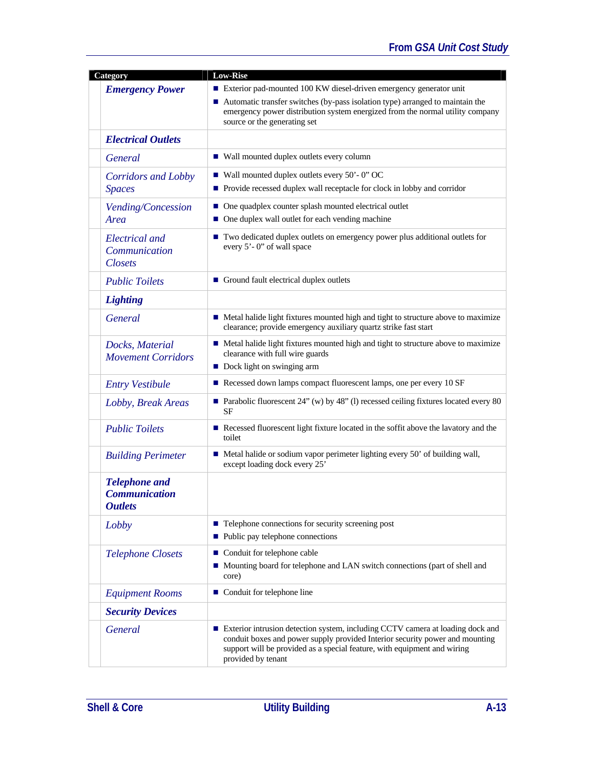| <b>Category</b>                                                | <b>Low-Rise</b>                                                                                                                                                                                                                                                        |
|----------------------------------------------------------------|------------------------------------------------------------------------------------------------------------------------------------------------------------------------------------------------------------------------------------------------------------------------|
| <b>Emergency Power</b>                                         | Exterior pad-mounted 100 KW diesel-driven emergency generator unit<br>■ Automatic transfer switches (by-pass isolation type) arranged to maintain the<br>emergency power distribution system energized from the normal utility company<br>source or the generating set |
| <b>Electrical Outlets</b>                                      |                                                                                                                                                                                                                                                                        |
| <b>General</b>                                                 | ■ Wall mounted duplex outlets every column                                                                                                                                                                                                                             |
| <b>Corridors and Lobby</b><br><b>Spaces</b>                    | $\blacksquare$ Wall mounted duplex outlets every 50' - 0" OC<br>Provide recessed duplex wall receptacle for clock in lobby and corridor                                                                                                                                |
| Vending/Concession<br>Area                                     | • One quadplex counter splash mounted electrical outlet<br>• One duplex wall outlet for each vending machine                                                                                                                                                           |
| <b>Electrical</b> and<br>Communication<br><b>Closets</b>       | ■ Two dedicated duplex outlets on emergency power plus additional outlets for<br>every 5'-0" of wall space                                                                                                                                                             |
| <b>Public Toilets</b>                                          | Ground fault electrical duplex outlets                                                                                                                                                                                                                                 |
| <b>Lighting</b>                                                |                                                                                                                                                                                                                                                                        |
| <b>General</b>                                                 | • Metal halide light fixtures mounted high and tight to structure above to maximize<br>clearance; provide emergency auxiliary quartz strike fast start                                                                                                                 |
| Docks, Material<br><b>Movement Corridors</b>                   | • Metal halide light fixtures mounted high and tight to structure above to maximize<br>clearance with full wire guards<br>Dock light on swinging arm                                                                                                                   |
| <b>Entry Vestibule</b>                                         | Recessed down lamps compact fluorescent lamps, one per every 10 SF                                                                                                                                                                                                     |
| Lobby, Break Areas                                             | Parabolic fluorescent $24$ " (w) by $48$ " (l) recessed ceiling fixtures located every 80<br>SF                                                                                                                                                                        |
| <b>Public Toilets</b>                                          | Recessed fluorescent light fixture located in the soffit above the lavatory and the<br>toilet                                                                                                                                                                          |
| <b>Building Perimeter</b>                                      | • Metal halide or sodium vapor perimeter lighting every 50' of building wall,<br>except loading dock every 25'                                                                                                                                                         |
| <b>Telephone and</b><br><b>Communication</b><br><b>Outlets</b> |                                                                                                                                                                                                                                                                        |
| Lobby                                                          | $\blacksquare$ Telephone connections for security screening post<br>• Public pay telephone connections                                                                                                                                                                 |
| <b>Telephone Closets</b>                                       | ■ Conduit for telephone cable<br>Mounting board for telephone and LAN switch connections (part of shell and<br>core)                                                                                                                                                   |
| <b>Equipment Rooms</b>                                         | Conduit for telephone line                                                                                                                                                                                                                                             |
| <b>Security Devices</b>                                        |                                                                                                                                                                                                                                                                        |
| <b>General</b>                                                 | Exterior intrusion detection system, including CCTV camera at loading dock and<br>conduit boxes and power supply provided Interior security power and mounting<br>support will be provided as a special feature, with equipment and wiring<br>provided by tenant       |